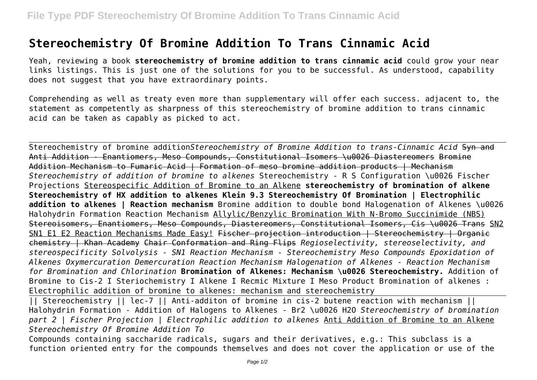## **Stereochemistry Of Bromine Addition To Trans Cinnamic Acid**

Yeah, reviewing a book **stereochemistry of bromine addition to trans cinnamic acid** could grow your near links listings. This is just one of the solutions for you to be successful. As understood, capability does not suggest that you have extraordinary points.

Comprehending as well as treaty even more than supplementary will offer each success. adjacent to, the statement as competently as sharpness of this stereochemistry of bromine addition to trans cinnamic acid can be taken as capably as picked to act.

Stereochemistry of bromine addition*Stereochemistry of Bromine Addition to trans-Cinnamic Acid* Syn and Anti Addition - Enantiomers, Meso Compounds, Constitutional Isomers \u0026 Diastereomers Bromine Addition Mechanism to Fumaric Acid | Formation of meso bromine addition products | Mechanism *Stereochemistry of addition of bromine to alkenes* Stereochemistry - R S Configuration \u0026 Fischer Projections Stereospecific Addition of Bromine to an Alkene **stereochemistry of bromination of alkene Stereochemistry of HX addition to alkenes Klein 9.3 Stereochemistry Of Bromination | Electrophilic addition to alkenes | Reaction mechanism** Bromine addition to double bond Halogenation of Alkenes \u0026 Halohydrin Formation Reaction Mechanism Allylic/Benzylic Bromination With N-Bromo Succinimide (NBS) Stereoisomers, Enantiomers, Meso Compounds, Diastereomers, Constitutional Isomers, Cis \u0026 Trans SN2 SN1 E1 E2 Reaction Mechanisms Made Easy! Fischer projection introduction | Stereochemistry | Organic chemistry | Khan Academy Chair Conformation and Ring Flips *Regioselectivity, stereoselectivity, and stereospecificity Solvolysis - SN1 Reaction Mechanism - Stereochemistry Meso Compounds Epoxidation of Alkenes Oxymercuration Demercuration Reaction Mechanism Halogenation of Alkenes - Reaction Mechanism for Bromination and Chlorination* **Bromination of Alkenes: Mechanism \u0026 Stereochemistry.** Addition of Bromine to Cis-2 I Steriochemistry I Alkene I Recmic Mixture I Meso Product Bromination of alkenes : Electrophilic addition of bromine to alkenes: mechanism and stereochemistry

|| Stereochemistry || lec-7 || Anti-additon of bromine in cis-2 butene reaction with mechanism || Halohydrin Formation - Addition of Halogens to Alkenes - Br2 \u0026 H2O *Stereochemistry of bromination part 2 | Fischer Projection | Electrophilic addition to alkenes* Anti Addition of Bromine to an Alkene *Stereochemistry Of Bromine Addition To*

Compounds containing saccharide radicals, sugars and their derivatives, e.g.: This subclass is a function oriented entry for the compounds themselves and does not cover the application or use of the